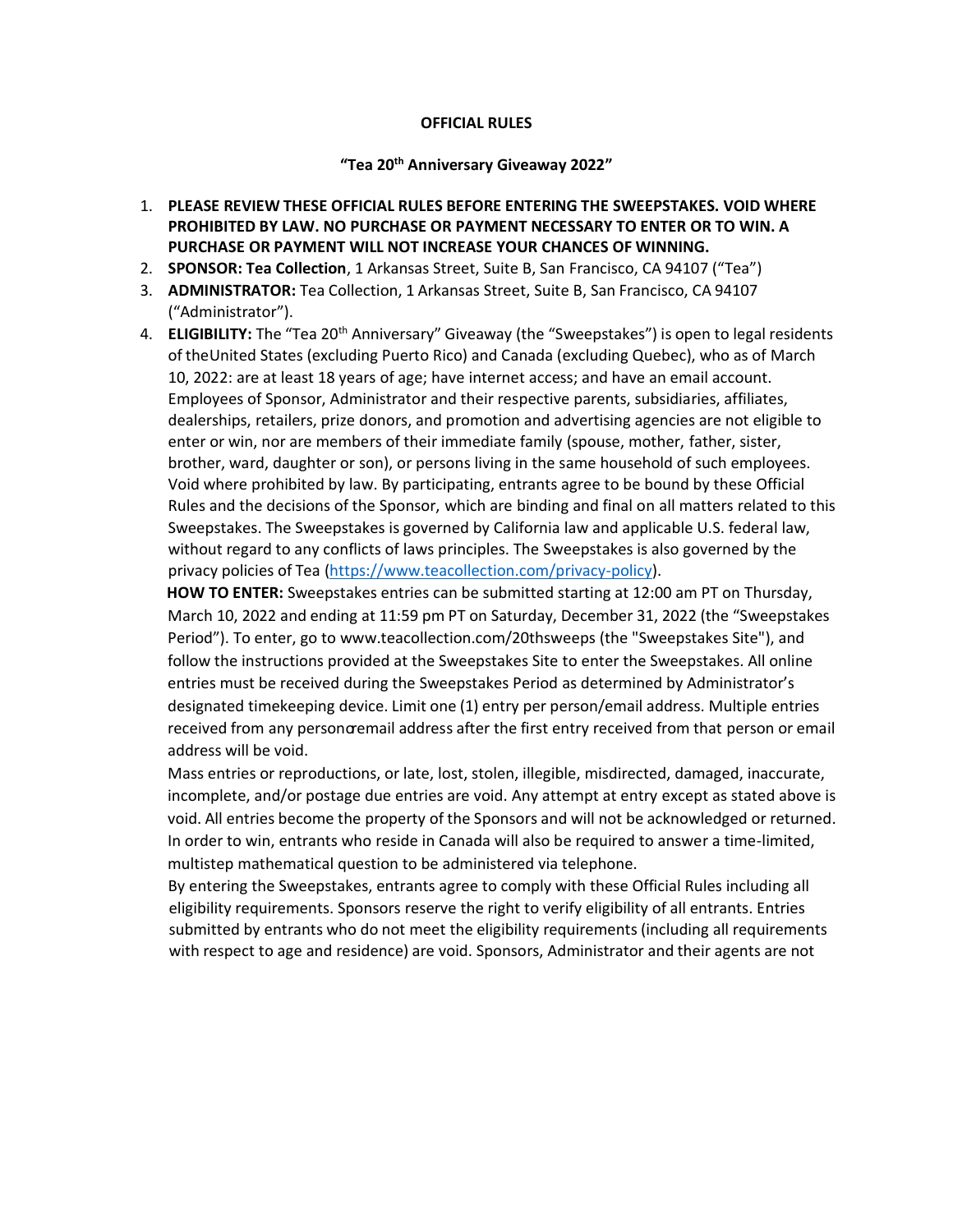## **OFFICIAL RULES**

## **"Tea 20th Anniversary Giveaway 2022"**

- 1. **PLEASE REVIEW THESE OFFICIAL RULES BEFORE ENTERING THE SWEEPSTAKES. VOID WHERE PROHIBITED BY LAW. NO PURCHASE OR PAYMENT NECESSARY TO ENTER OR TO WIN. A PURCHASE OR PAYMENT WILL NOT INCREASE YOUR CHANCES OF WINNING.**
- 2. **SPONSOR: Tea Collection**, 1 Arkansas Street, Suite B, San Francisco, CA 94107 ("Tea")
- 3. **ADMINISTRATOR:** Tea Collection, 1 Arkansas Street, Suite B, San Francisco, CA 94107 ("Administrator").
- 4. **ELIGIBILITY:** The "Tea 20<sup>th</sup> Anniversary" Giveaway (the "Sweepstakes") is open to legal residents of theUnited States (excluding Puerto Rico) and Canada (excluding Quebec), who as of March 10, 2022: are at least 18 years of age; have internet access; and have an email account. Employees of Sponsor, Administrator and their respective parents, subsidiaries, affiliates, dealerships, retailers, prize donors, and promotion and advertising agencies are not eligible to enter or win, nor are members of their immediate family (spouse, mother, father, sister, brother, ward, daughter or son), or persons living in the same household of such employees. Void where prohibited by law. By participating, entrants agree to be bound by these Official Rules and the decisions of the Sponsor, which are binding and final on all matters related to this Sweepstakes. The Sweepstakes is governed by California law and applicable U.S. federal law, without regard to any conflicts of laws principles. The Sweepstakes is also governed by the privacy policies of Tea (https[://www.teacollection.com/privacy-policy\).](http://www.teacollection.com/privacy-policy))

**HOW TO ENTER:** Sweepstakes entries can be submitted starting at 12:00 am PT on Thursday, March 10, 2022 and ending at 11:59 pm PT on Saturday, December 31, 2022 (the "Sweepstakes Period"). To enter, go to www.teacollection.com/20thsweeps (the "Sweepstakes Site"), and follow the instructions provided at the Sweepstakes Site to enter the Sweepstakes. All online entries must be received during the Sweepstakes Period as determined by Administrator's designated timekeeping device. Limit one (1) entry per person/email address. Multiple entries received from any personoremail address after the first entry received from that person or email address will be void.

Mass entries or reproductions, or late, lost, stolen, illegible, misdirected, damaged, inaccurate, incomplete, and/or postage due entries are void. Any attempt at entry except as stated above is void. All entries become the property of the Sponsors and will not be acknowledged or returned. In order to win, entrants who reside in Canada will also be required to answer a time-limited, multistep mathematical question to be administered via telephone.

By entering the Sweepstakes, entrants agree to comply with these Official Rules including all eligibility requirements. Sponsors reserve the right to verify eligibility of all entrants. Entries submitted by entrants who do not meet the eligibility requirements (including all requirements with respect to age and residence) are void. Sponsors, Administrator and their agents are not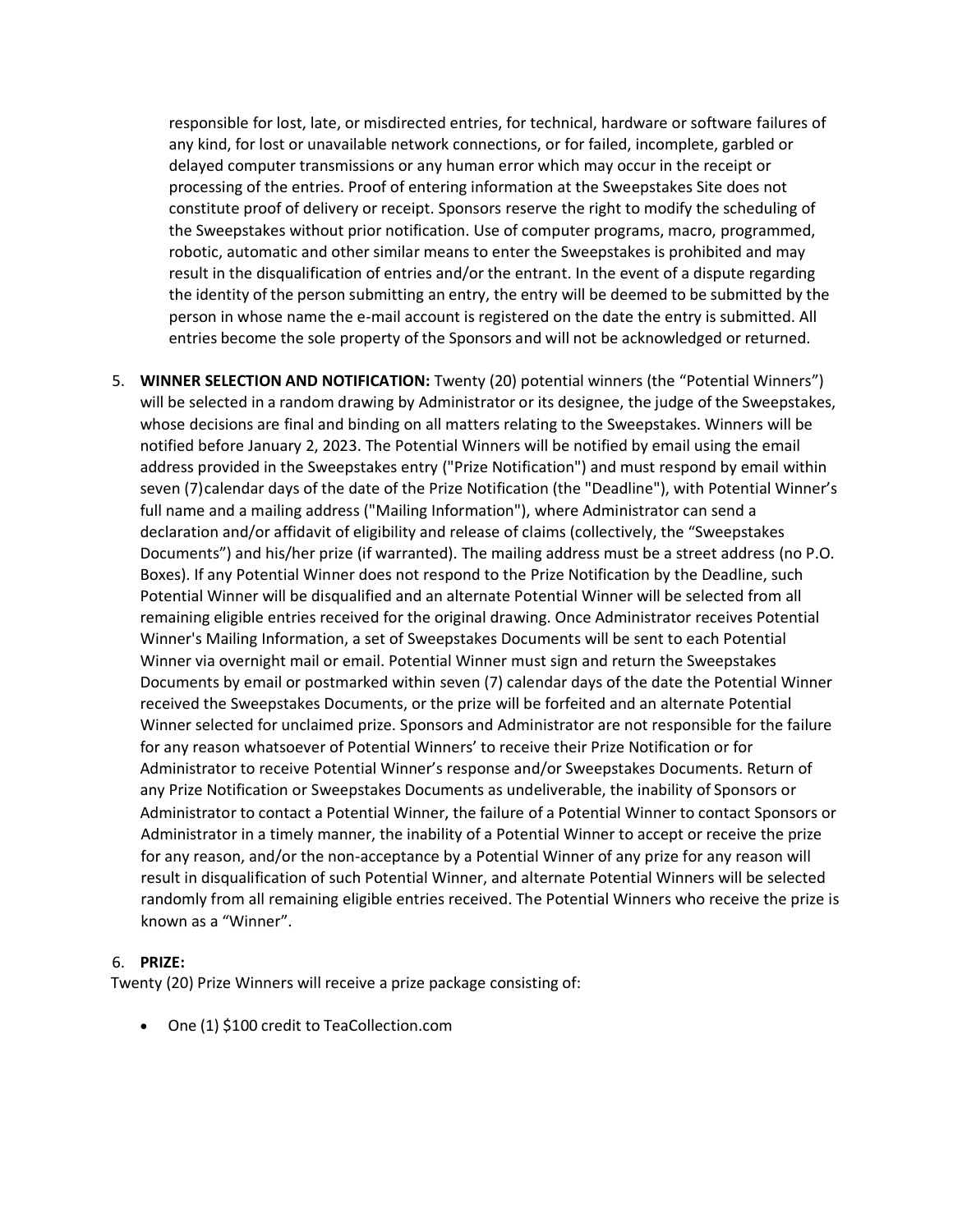responsible for lost, late, or misdirected entries, for technical, hardware or software failures of any kind, for lost or unavailable network connections, or for failed, incomplete, garbled or delayed computer transmissions or any human error which may occur in the receipt or processing of the entries. Proof of entering information at the Sweepstakes Site does not constitute proof of delivery or receipt. Sponsors reserve the right to modify the scheduling of the Sweepstakes without prior notification. Use of computer programs, macro, programmed, robotic, automatic and other similar means to enter the Sweepstakes is prohibited and may result in the disqualification of entries and/or the entrant. In the event of a dispute regarding the identity of the person submitting an entry, the entry will be deemed to be submitted by the person in whose name the e-mail account is registered on the date the entry is submitted. All entries become the sole property of the Sponsors and will not be acknowledged or returned.

5. **WINNER SELECTION AND NOTIFICATION:** Twenty (20) potential winners (the "Potential Winners") will be selected in a random drawing by Administrator or its designee, the judge of the Sweepstakes, whose decisions are final and binding on all matters relating to the Sweepstakes. Winners will be notified before January 2, 2023. The Potential Winners will be notified by email using the email address provided in the Sweepstakes entry ("Prize Notification") and must respond by email within seven (7) calendar days of the date of the Prize Notification (the "Deadline"), with Potential Winner's full name and a mailing address ("Mailing Information"), where Administrator can send a declaration and/or affidavit of eligibility and release of claims (collectively, the "Sweepstakes Documents") and his/her prize (if warranted). The mailing address must be a street address (no P.O. Boxes). If any Potential Winner does not respond to the Prize Notification by the Deadline, such Potential Winner will be disqualified and an alternate Potential Winner will be selected from all remaining eligible entries received for the original drawing. Once Administrator receives Potential Winner's Mailing Information, a set of Sweepstakes Documents will be sent to each Potential Winner via overnight mail or email. Potential Winner must sign and return the Sweepstakes Documents by email or postmarked within seven (7) calendar days of the date the Potential Winner received the Sweepstakes Documents, or the prize will be forfeited and an alternate Potential Winner selected for unclaimed prize. Sponsors and Administrator are not responsible for the failure for any reason whatsoever of Potential Winners' to receive their Prize Notification or for Administrator to receive Potential Winner's response and/or Sweepstakes Documents. Return of any Prize Notification or Sweepstakes Documents as undeliverable, the inability of Sponsors or Administrator to contact a Potential Winner, the failure of a Potential Winner to contact Sponsors or Administrator in a timely manner, the inability of a Potential Winner to accept or receive the prize for any reason, and/or the non-acceptance by a Potential Winner of any prize for any reason will result in disqualification of such Potential Winner, and alternate Potential Winners will be selected randomly from all remaining eligible entries received. The Potential Winners who receive the prize is known as a "Winner".

## 6. **PRIZE:**

Twenty (20) Prize Winners will receive a prize package consisting of:

• One (1) \$100 credit to TeaCollection.com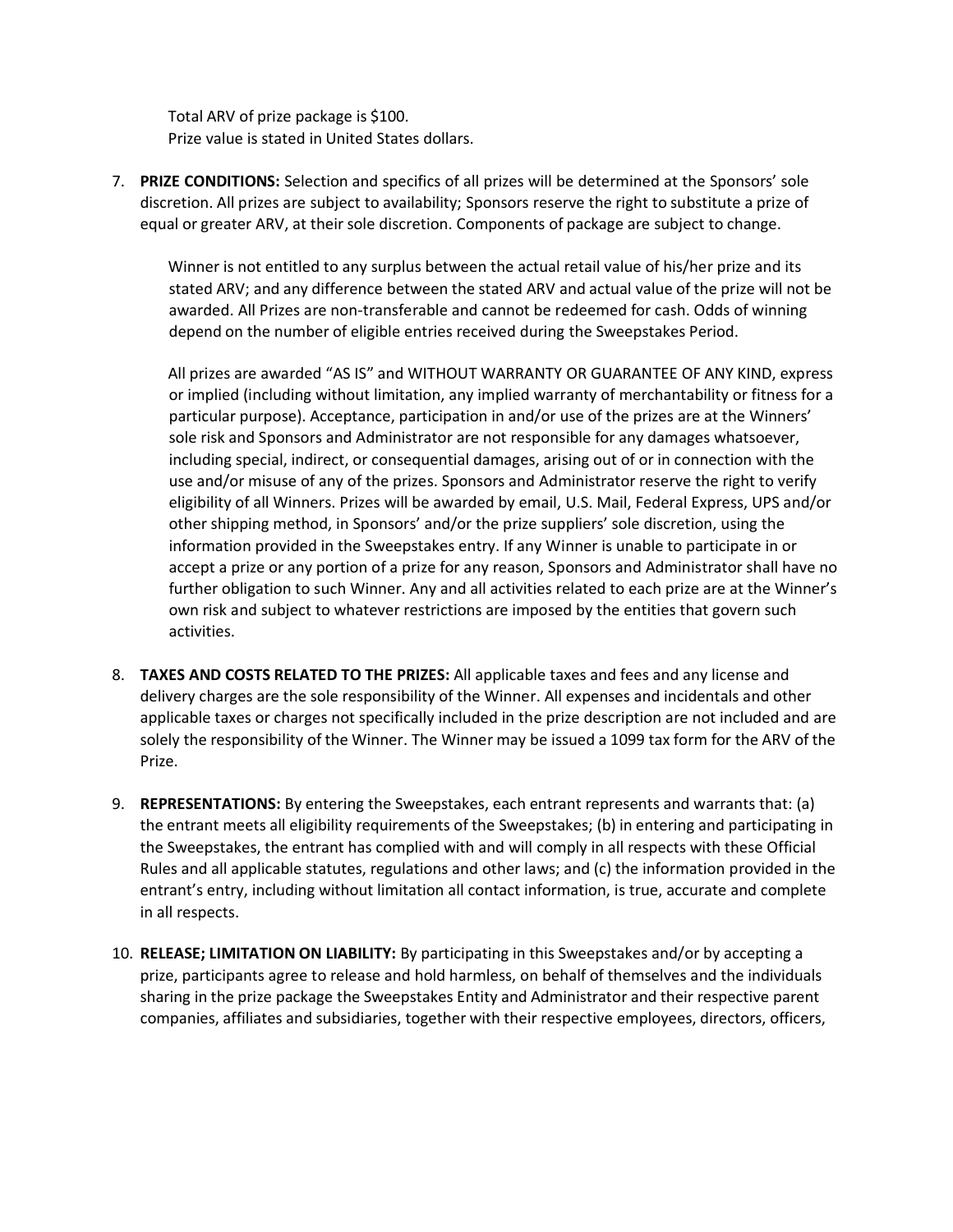Total ARV of prize package is \$100. Prize value is stated in United States dollars.

7. **PRIZE CONDITIONS:** Selection and specifics of all prizes will be determined at the Sponsors' sole discretion. All prizes are subject to availability; Sponsors reserve the right to substitute a prize of equal or greater ARV, at their sole discretion. Components of package are subject to change.

Winner is not entitled to any surplus between the actual retail value of his/her prize and its stated ARV; and any difference between the stated ARV and actual value of the prize will not be awarded. All Prizes are non-transferable and cannot be redeemed for cash. Odds of winning depend on the number of eligible entries received during the Sweepstakes Period.

All prizes are awarded "AS IS" and WITHOUT WARRANTY OR GUARANTEE OF ANY KIND, express or implied (including without limitation, any implied warranty of merchantability or fitness for a particular purpose). Acceptance, participation in and/or use of the prizes are at the Winners' sole risk and Sponsors and Administrator are not responsible for any damages whatsoever, including special, indirect, or consequential damages, arising out of or in connection with the use and/or misuse of any of the prizes. Sponsors and Administrator reserve the right to verify eligibility of all Winners. Prizes will be awarded by email, U.S. Mail, Federal Express, UPS and/or other shipping method, in Sponsors' and/or the prize suppliers' sole discretion, using the information provided in the Sweepstakes entry. If any Winner is unable to participate in or accept a prize or any portion of a prize for any reason, Sponsors and Administrator shall have no further obligation to such Winner. Any and all activities related to each prize are at the Winner's own risk and subject to whatever restrictions are imposed by the entities that govern such activities.

- 8. **TAXES AND COSTS RELATED TO THE PRIZES:** All applicable taxes and fees and any license and delivery charges are the sole responsibility of the Winner. All expenses and incidentals and other applicable taxes or charges not specifically included in the prize description are not included and are solely the responsibility of the Winner. The Winner may be issued a 1099 tax form for the ARV of the Prize.
- 9. **REPRESENTATIONS:** By entering the Sweepstakes, each entrant represents and warrants that: (a) the entrant meets all eligibility requirements of the Sweepstakes; (b) in entering and participating in the Sweepstakes, the entrant has complied with and will comply in all respects with these Official Rules and all applicable statutes, regulations and other laws; and (c) the information provided in the entrant's entry, including without limitation all contact information, is true, accurate and complete in all respects.
- 10. **RELEASE; LIMITATION ON LIABILITY:** By participating in this Sweepstakes and/or by accepting a prize, participants agree to release and hold harmless, on behalf of themselves and the individuals sharing in the prize package the Sweepstakes Entity and Administrator and their respective parent companies, affiliates and subsidiaries, together with their respective employees, directors, officers,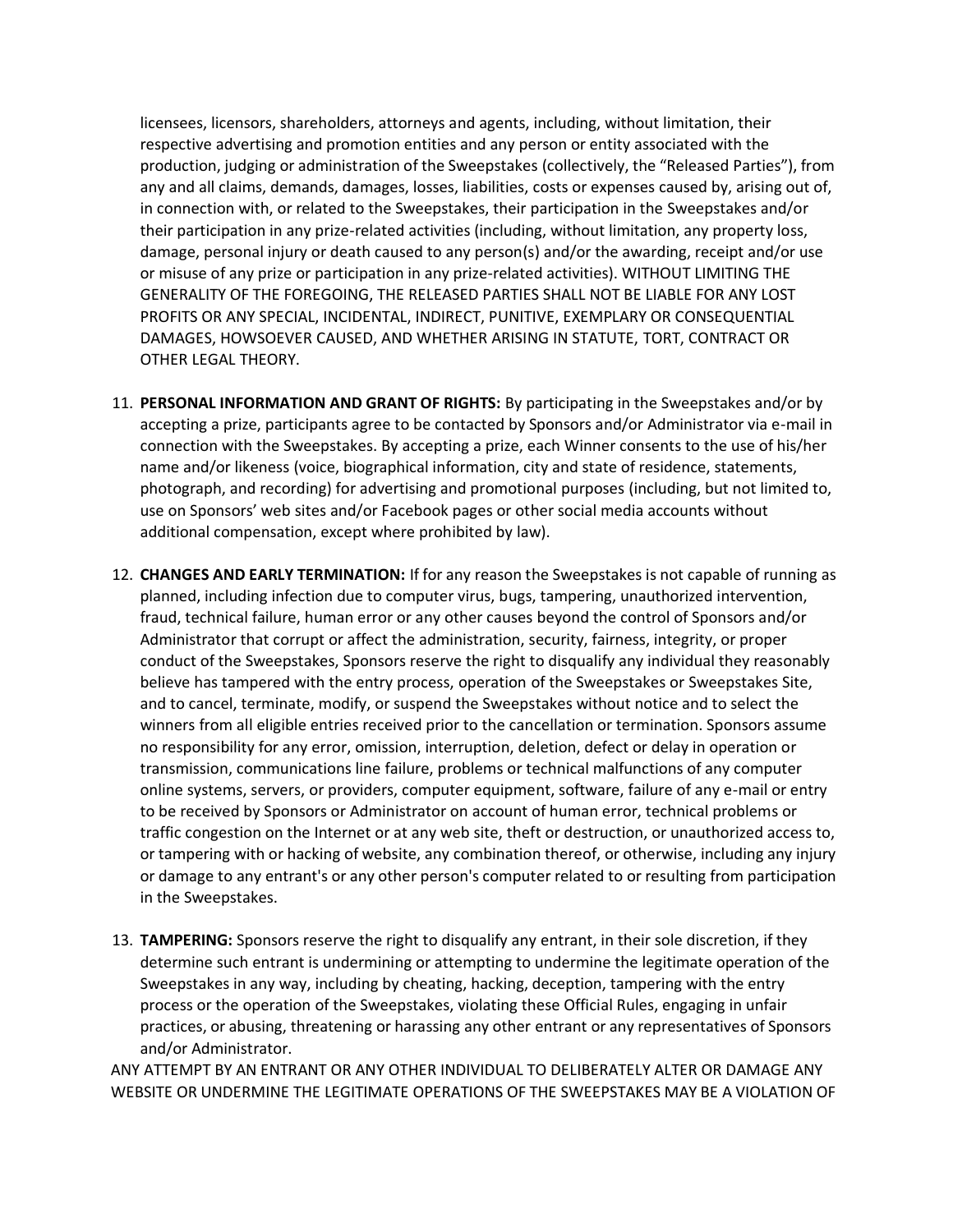licensees, licensors, shareholders, attorneys and agents, including, without limitation, their respective advertising and promotion entities and any person or entity associated with the production, judging or administration of the Sweepstakes (collectively, the "Released Parties"), from any and all claims, demands, damages, losses, liabilities, costs or expenses caused by, arising out of, in connection with, or related to the Sweepstakes, their participation in the Sweepstakes and/or their participation in any prize-related activities (including, without limitation, any property loss, damage, personal injury or death caused to any person(s) and/or the awarding, receipt and/or use or misuse of any prize or participation in any prize-related activities). WITHOUT LIMITING THE GENERALITY OF THE FOREGOING, THE RELEASED PARTIES SHALL NOT BE LIABLE FOR ANY LOST PROFITS OR ANY SPECIAL, INCIDENTAL, INDIRECT, PUNITIVE, EXEMPLARY OR CONSEQUENTIAL DAMAGES, HOWSOEVER CAUSED, AND WHETHER ARISING IN STATUTE, TORT, CONTRACT OR OTHER LEGAL THEORY.

- 11. **PERSONAL INFORMATION AND GRANT OF RIGHTS:** By participating in the Sweepstakes and/or by accepting a prize, participants agree to be contacted by Sponsors and/or Administrator via e-mail in connection with the Sweepstakes. By accepting a prize, each Winner consents to the use of his/her name and/or likeness (voice, biographical information, city and state of residence, statements, photograph, and recording) for advertising and promotional purposes (including, but not limited to, use on Sponsors' web sites and/or Facebook pages or other social media accounts without additional compensation, except where prohibited by law).
- 12. **CHANGES AND EARLY TERMINATION:** If for any reason the Sweepstakes is not capable of running as planned, including infection due to computer virus, bugs, tampering, unauthorized intervention, fraud, technical failure, human error or any other causes beyond the control of Sponsors and/or Administrator that corrupt or affect the administration, security, fairness, integrity, or proper conduct of the Sweepstakes, Sponsors reserve the right to disqualify any individual they reasonably believe has tampered with the entry process, operation of the Sweepstakes or Sweepstakes Site, and to cancel, terminate, modify, or suspend the Sweepstakes without notice and to select the winners from all eligible entries received prior to the cancellation or termination. Sponsors assume no responsibility for any error, omission, interruption, deletion, defect or delay in operation or transmission, communications line failure, problems or technical malfunctions of any computer online systems, servers, or providers, computer equipment, software, failure of any e-mail or entry to be received by Sponsors or Administrator on account of human error, technical problems or traffic congestion on the Internet or at any web site, theft or destruction, or unauthorized access to, or tampering with or hacking of website, any combination thereof, or otherwise, including any injury or damage to any entrant's or any other person's computer related to or resulting from participation in the Sweepstakes.
- 13. **TAMPERING:** Sponsors reserve the right to disqualify any entrant, in their sole discretion, if they determine such entrant is undermining or attempting to undermine the legitimate operation of the Sweepstakes in any way, including by cheating, hacking, deception, tampering with the entry process or the operation of the Sweepstakes, violating these Official Rules, engaging in unfair practices, or abusing, threatening or harassing any other entrant or any representatives of Sponsors and/or Administrator.

ANY ATTEMPT BY AN ENTRANT OR ANY OTHER INDIVIDUAL TO DELIBERATELY ALTER OR DAMAGE ANY WEBSITE OR UNDERMINE THE LEGITIMATE OPERATIONS OF THE SWEEPSTAKES MAY BE A VIOLATION OF